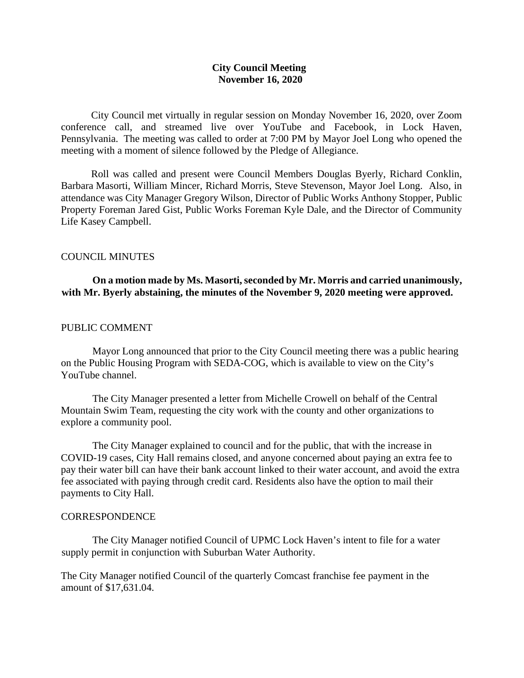### **City Council Meeting November 16, 2020**

City Council met virtually in regular session on Monday November 16, 2020, over Zoom conference call, and streamed live over YouTube and Facebook, in Lock Haven, Pennsylvania. The meeting was called to order at 7:00 PM by Mayor Joel Long who opened the meeting with a moment of silence followed by the Pledge of Allegiance.

Roll was called and present were Council Members Douglas Byerly, Richard Conklin, Barbara Masorti, William Mincer, Richard Morris, Steve Stevenson, Mayor Joel Long. Also, in attendance was City Manager Gregory Wilson, Director of Public Works Anthony Stopper, Public Property Foreman Jared Gist, Public Works Foreman Kyle Dale, and the Director of Community Life Kasey Campbell.

### COUNCIL MINUTES

# **On a motion made by Ms. Masorti, seconded by Mr. Morris and carried unanimously, with Mr. Byerly abstaining, the minutes of the November 9, 2020 meeting were approved.**

#### PUBLIC COMMENT

Mayor Long announced that prior to the City Council meeting there was a public hearing on the Public Housing Program with SEDA-COG, which is available to view on the City's YouTube channel.

The City Manager presented a letter from Michelle Crowell on behalf of the Central Mountain Swim Team, requesting the city work with the county and other organizations to explore a community pool.

The City Manager explained to council and for the public, that with the increase in COVID-19 cases, City Hall remains closed, and anyone concerned about paying an extra fee to pay their water bill can have their bank account linked to their water account, and avoid the extra fee associated with paying through credit card. Residents also have the option to mail their payments to City Hall.

#### **CORRESPONDENCE**

The City Manager notified Council of UPMC Lock Haven's intent to file for a water supply permit in conjunction with Suburban Water Authority.

The City Manager notified Council of the quarterly Comcast franchise fee payment in the amount of \$17,631.04.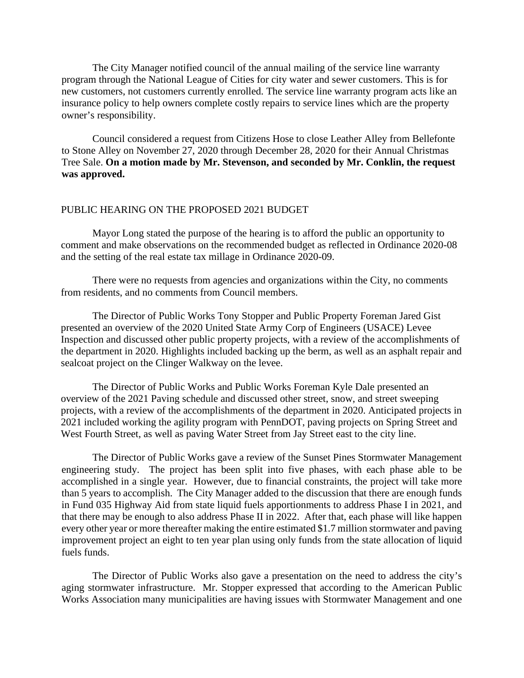The City Manager notified council of the annual mailing of the service line warranty program through the National League of Cities for city water and sewer customers. This is for new customers, not customers currently enrolled. The service line warranty program acts like an insurance policy to help owners complete costly repairs to service lines which are the property owner's responsibility.

Council considered a request from Citizens Hose to close Leather Alley from Bellefonte to Stone Alley on November 27, 2020 through December 28, 2020 for their Annual Christmas Tree Sale. **On a motion made by Mr. Stevenson, and seconded by Mr. Conklin, the request was approved.**

#### PUBLIC HEARING ON THE PROPOSED 2021 BUDGET

Mayor Long stated the purpose of the hearing is to afford the public an opportunity to comment and make observations on the recommended budget as reflected in Ordinance 2020-08 and the setting of the real estate tax millage in Ordinance 2020-09.

There were no requests from agencies and organizations within the City, no comments from residents, and no comments from Council members.

The Director of Public Works Tony Stopper and Public Property Foreman Jared Gist presented an overview of the 2020 United State Army Corp of Engineers (USACE) Levee Inspection and discussed other public property projects, with a review of the accomplishments of the department in 2020. Highlights included backing up the berm, as well as an asphalt repair and sealcoat project on the Clinger Walkway on the levee.

The Director of Public Works and Public Works Foreman Kyle Dale presented an overview of the 2021 Paving schedule and discussed other street, snow, and street sweeping projects, with a review of the accomplishments of the department in 2020. Anticipated projects in 2021 included working the agility program with PennDOT, paving projects on Spring Street and West Fourth Street, as well as paving Water Street from Jay Street east to the city line.

The Director of Public Works gave a review of the Sunset Pines Stormwater Management engineering study. The project has been split into five phases, with each phase able to be accomplished in a single year. However, due to financial constraints, the project will take more than 5 years to accomplish. The City Manager added to the discussion that there are enough funds in Fund 035 Highway Aid from state liquid fuels apportionments to address Phase I in 2021, and that there may be enough to also address Phase II in 2022. After that, each phase will like happen every other year or more thereafter making the entire estimated \$1.7 million stormwater and paving improvement project an eight to ten year plan using only funds from the state allocation of liquid fuels funds.

The Director of Public Works also gave a presentation on the need to address the city's aging stormwater infrastructure. Mr. Stopper expressed that according to the American Public Works Association many municipalities are having issues with Stormwater Management and one